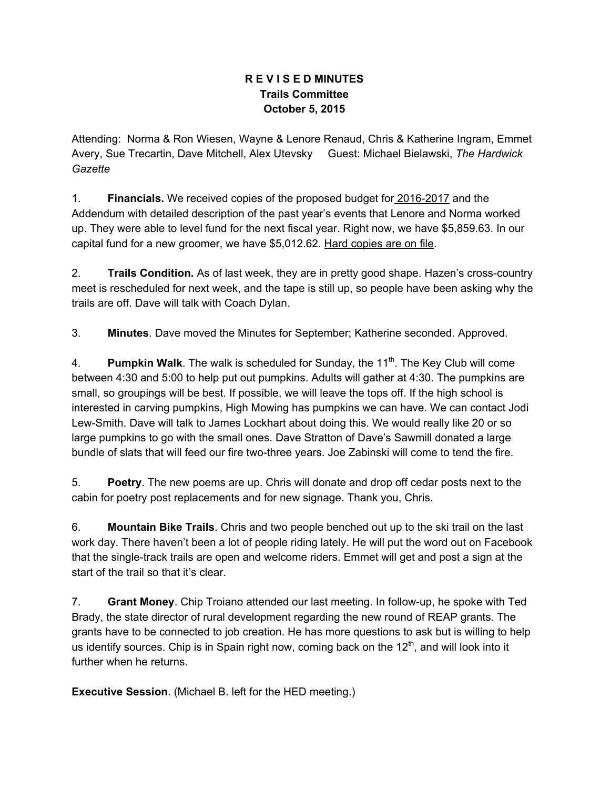## **R E V I S E D MINUTES Trails Committee October 5, 2015**

Attending: Norma & Ron Wiesen, Wayne & Lenore Renaud, Chris & Katherine Ingram, Emmet Avery, Sue Trecartin, Dave Mitchell, Alex Utevsky Guest: Michael Bielawski, *The Hardwick Gazette*

1. **Financials.** We received copies of the proposed budget for 2016-2017 and the Addendum with detailed description of the past year's events that Lenore and Norma worked up. They were able to level fund for the next fiscal year. Right now, we have \$5,859.63. In our capital fund for a new groomer, we have \$5,012.62. Hard copies are on file.

2. **Trails Condition.** As of last week, they are in pretty good shape. Hazen's cross-country meet is rescheduled for next week, and the tape is still up, so people have been asking why the trails are off. Dave will talk with Coach Dylan.

3. **Minutes**. Dave moved the Minutes for September; Katherine seconded. Approved.

4. **Pumpkin Walk**. The walk is scheduled for Sunday, the 11<sup>th</sup>. The Key Club will come between 4:30 and 5:00 to help put out pumpkins. Adults will gather at 4:30. The pumpkins are small, so groupings will be best. If possible, we will leave the tops off. If the high school is interested in carving pumpkins, High Mowing has pumpkins we can have. We can contact Jodi Lew-Smith. Dave will talk to James Lockhart about doing this. We would really like 20 or so large pumpkins to go with the small ones. Dave Stratton of Dave's Sawmill donated a large bundle of slats that will feed our fire two-three years. Joe Zabinski will come to tend the fire.

5. **Poetry**. The new poems are up. Chris will donate and drop off cedar posts next to the cabin for poetry post replacements and for new signage. Thank you, Chris.

6. **Mountain Bike Trails**. Chris and two people benched out up to the ski trail on the last work day. There haven't been a lot of people riding lately. He will put the word out on Facebook that the single-track trails are open and welcome riders. Emmet will get and post a sign at the start of the trail so that it's clear.

7. **Grant Money**. Chip Troiano attended our last meeting. In follow-up, he spoke with Ted Brady, the state director of rural development regarding the new round of REAP grants. The grants have to be connected to job creation. He has more questions to ask but is willing to help us identify sources. Chip is in Spain right now, coming back on the  $12<sup>th</sup>$ , and will look into it further when he returns.

**Executive Session**. (Michael B. left for the HED meeting.)